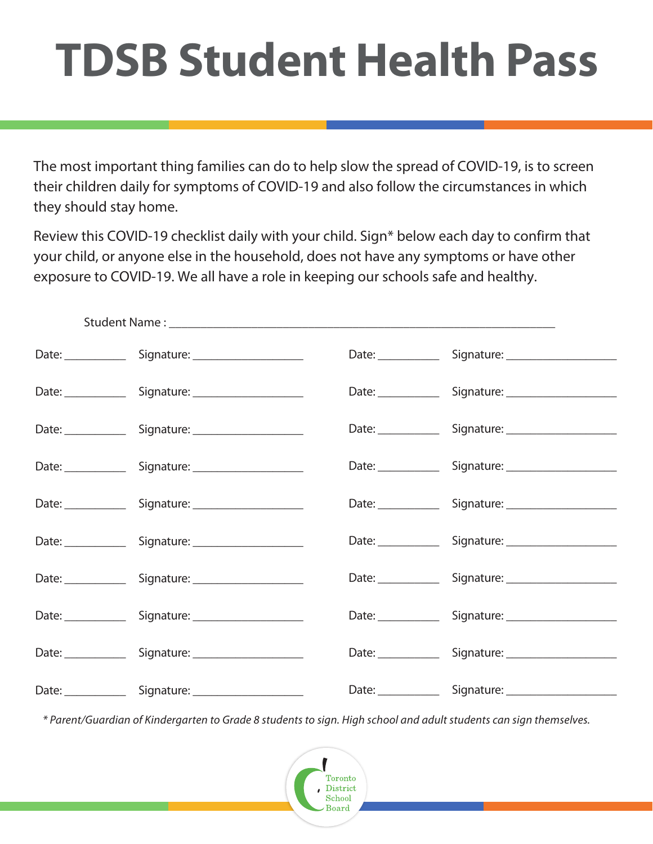## **TDSB Student Health Pass**

The most important thing families can do to help slow the spread of COVID-19, is to screen their children daily for symptoms of COVID-19 and also follow the circumstances in which they should stay home.

Review this COVID-19 checklist daily with your child. Sign\* below each day to confirm that your child, or anyone else in the household, does not have any symptoms or have other exposure to COVID-19. We all have a role in keeping our schools safe and healthy.

|  | Date: Signature: Charles Contains Contained Street, Charles Contains Containing Contains Containing Contains Contains Contains Contains Contains Contains Contains Contains Contains Contains Contains Contains Contains Conta |  | Date: Signature: Cambridge Superior Contains |
|--|--------------------------------------------------------------------------------------------------------------------------------------------------------------------------------------------------------------------------------|--|----------------------------------------------|
|  | Date: Signature: 1998                                                                                                                                                                                                          |  | Date: Signature: Signature.                  |
|  | Date: Signature: Charles Caternal Contract Contract Contract Contract Contract Contract Contract Contract Contract Contract Contract Contract Contract Contract Contract Contract Contract Contract Contract Contract Contract |  |                                              |
|  | Date: Signature: Charles Contains Container                                                                                                                                                                                    |  | Date: Signature: Campbell 2014               |
|  | Date: Signature: Charles Contains Container                                                                                                                                                                                    |  |                                              |
|  |                                                                                                                                                                                                                                |  | Date: Signature: Signature:                  |
|  | Date: Signature: Campbell 2014                                                                                                                                                                                                 |  | Date: Signature: Campbell 2014               |
|  | Date: Signature: Campbell 2014                                                                                                                                                                                                 |  | Date: Signature: Campbell 2014               |
|  | Date: Signature: Charles Caternal Contract Contract Contract Contract Contract Contract Contract Contract Contract Contract Contract Contract Contract Contract Contract Contract Contract Contract Contract Contract Contract |  | Date: Signature: Campbell 2014               |
|  | Date: Signature: Charles Contains Container                                                                                                                                                                                    |  | Date: Signature: Campbell 2014               |

*\* Parent/Guardian of Kindergarten to Grade 8 students to sign. High school and adult students can sign themselves.*